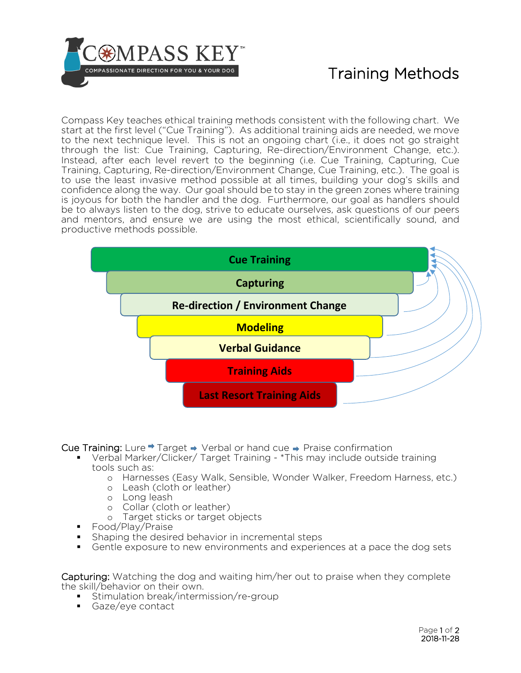

## Training Methods

Compass Key teaches ethical training methods consistent with the following chart. We start at the first level ("Cue Training"). As additional training aids are needed, we move to the next technique level. This is not an ongoing chart (i.e., it does not go straight through the list: Cue Training, Capturing, Re-direction/Environment Change, etc.). Instead, after each level revert to the beginning (i.e. Cue Training, Capturing, Cue Training, Capturing, Re-direction/Environment Change, Cue Training, etc.). The goal is to use the least invasive method possible at all times, building your dog's skills and confidence along the way. Our goal should be to stay in the green zones where training is joyous for both the handler and the dog. Furthermore, our goal as handlers should be to always listen to the dog, strive to educate ourselves, ask questions of our peers and mentors, and ensure we are using the most ethical, scientifically sound, and productive methods possible.



**Cue Training:** Lure  $\Rightarrow$  Target  $\Rightarrow$  Verbal or hand cue  $\Rightarrow$  Praise confirmation

- Verbal Marker/Clicker/ Target Training \*This may include outside training tools such as:
	- o Harnesses (Easy Walk, Sensible, Wonder Walker, Freedom Harness, etc.)
	- o Leash (cloth or leather)
	- o Long leash
	- o Collar (cloth or leather)
	- o Target sticks or target objects
- Food/Play/Praise
- Shaping the desired behavior in incremental steps
- Gentle exposure to new environments and experiences at a pace the dog sets

Capturing: Watching the dog and waiting him/her out to praise when they complete the skill/behavior on their own.

- **Stimulation break/intermission/re-group**
- Gaze/eye contact